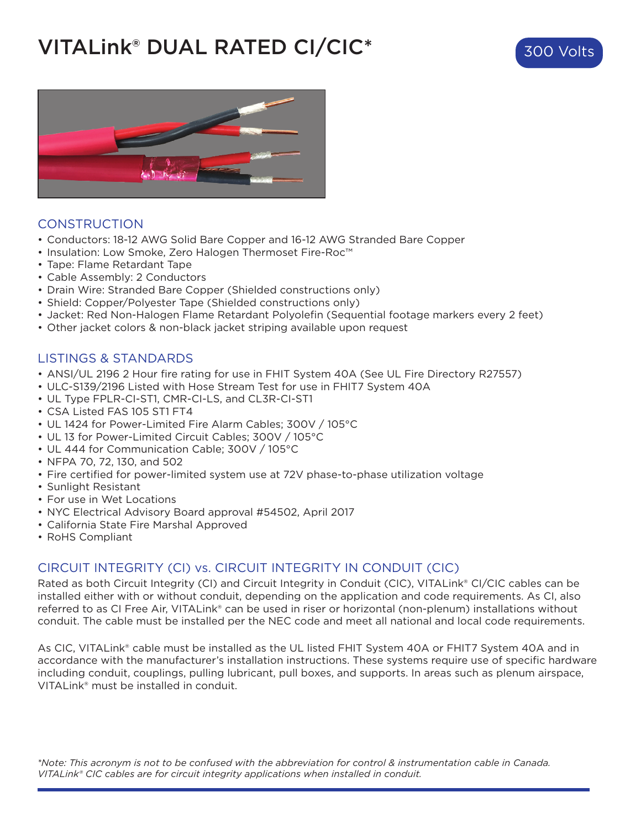# VITALink® DUAL RATED CI/CIC\*



## CONSTRUCTION

- Conductors: 18-12 AWG Solid Bare Copper and 16-12 AWG Stranded Bare Copper
- Insulation: Low Smoke, Zero Halogen Thermoset Fire-Roc™
- Tape: Flame Retardant Tape
- Cable Assembly: 2 Conductors
- Drain Wire: Stranded Bare Copper (Shielded constructions only)
- Shield: Copper/Polyester Tape (Shielded constructions only)
- Jacket: Red Non-Halogen Flame Retardant Polyolefin (Sequential footage markers every 2 feet)
- Other jacket colors & non-black jacket striping available upon request

## LISTINGS & STANDARDS

- ANSI/UL 2196 2 Hour fire rating for use in FHIT System 40A (See UL Fire Directory R27557)
- ULC-S139/2196 Listed with Hose Stream Test for use in FHIT7 System 40A
- UL Type FPLR-CI-ST1, CMR-CI-LS, and CL3R-CI-ST1
- CSA Listed FAS 105 ST1 FT4
- UL 1424 for Power-Limited Fire Alarm Cables; 300V / 105°C
- UL 13 for Power-Limited Circuit Cables; 300V / 105°C
- UL 444 for Communication Cable; 300V / 105°C
- NFPA 70, 72, 130, and 502
- Fire certified for power-limited system use at 72V phase-to-phase utilization voltage
- Sunlight Resistant
- For use in Wet Locations
- NYC Electrical Advisory Board approval #54502, April 2017
- California State Fire Marshal Approved
- RoHS Compliant

# CIRCUIT INTEGRITY (CI) vs. CIRCUIT INTEGRITY IN CONDUIT (CIC)

Rated as both Circuit Integrity (CI) and Circuit Integrity in Conduit (CIC), VITALink® CI/CIC cables can be installed either with or without conduit, depending on the application and code requirements. As CI, also referred to as CI Free Air, VITALink® can be used in riser or horizontal (non-plenum) installations without conduit. The cable must be installed per the NEC code and meet all national and local code requirements.

As CIC, VITALink® cable must be installed as the UL listed FHIT System 40A or FHIT7 System 40A and in accordance with the manufacturer's installation instructions. These systems require use of specific hardware including conduit, couplings, pulling lubricant, pull boxes, and supports. In areas such as plenum airspace, VITALink® must be installed in conduit.

*\*Note: This acronym is not to be confused with the abbreviation for control & instrumentation cable in Canada. VITALink® CIC cables are for circuit integrity applications when installed in conduit.*